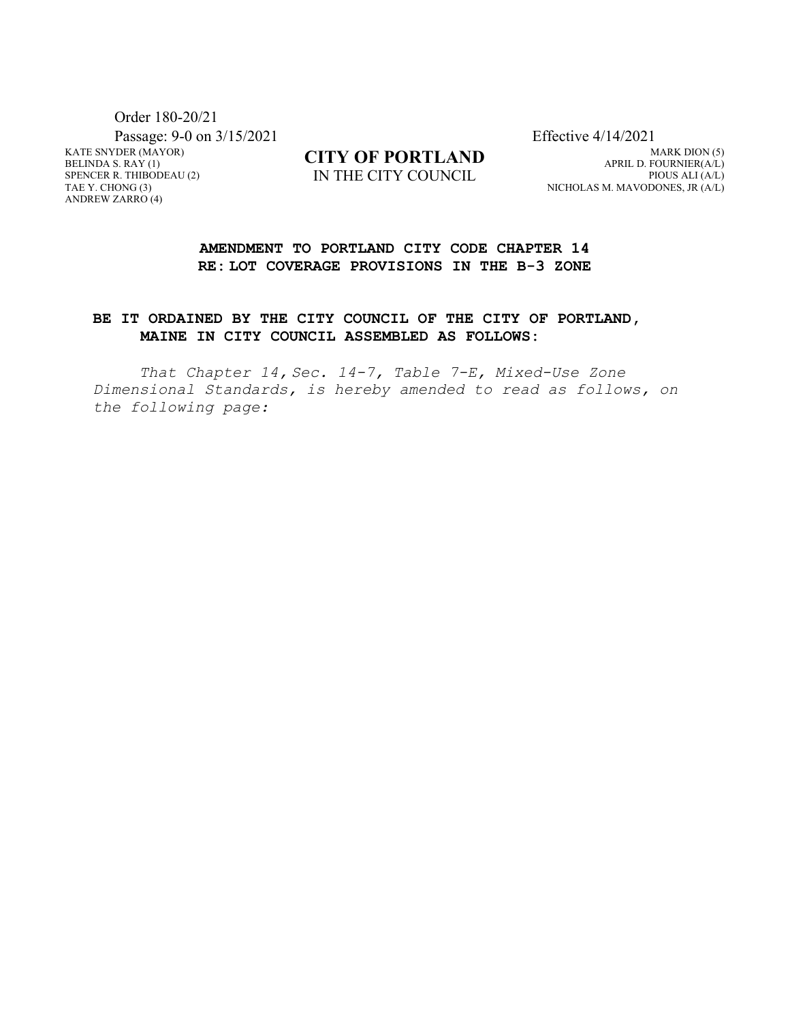KATE SNYDER (MAYOR) BELINDA S. RAY (1) SPENCER R. THIBODEAU (2) TAE Y. CHONG (3) ANDREW ZARRO (4) Order 180-20/21 Passage: 9-0 on 3/15/2021 Effective 4/14/2021

**CITY OF PORTLAND** IN THE CITY COUNCIL

MARK DION (5) APRIL D. FOURNIER(A/L) PIOUS ALI (A/L) NICHOLAS M. MAVODONES, JR (A/L)

## **AMENDMENT TO PORTLAND CITY CODE CHAPTER 14 RE: LOT COVERAGE PROVISIONS IN THE B-3 ZONE**

## **BE IT ORDAINED BY THE CITY COUNCIL OF THE CITY OF PORTLAND, MAINE IN CITY COUNCIL ASSEMBLED AS FOLLOWS:**

*That Chapter 14, Sec. 14-7, Table 7-E, Mixed-Use Zone Dimensional Standards, is hereby amended to read as follows, on the following page:*